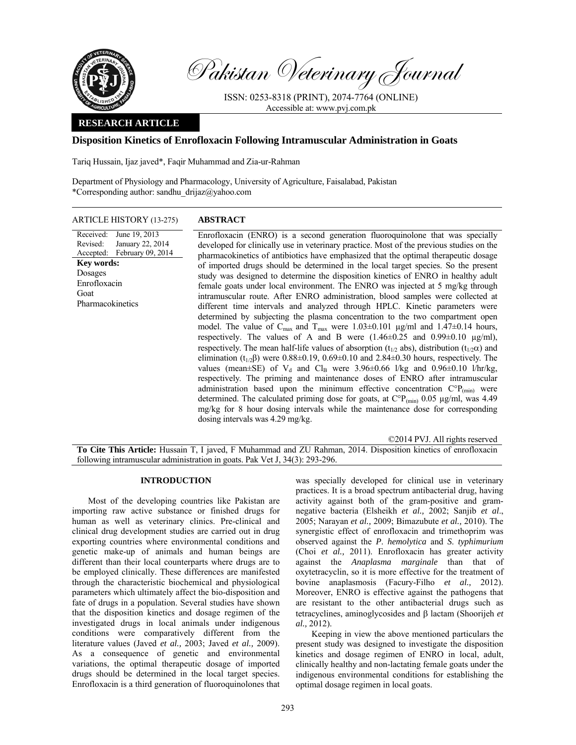

Pakistan Veterinary Journal

ISSN: 0253-8318 (PRINT), 2074-7764 (ONLINE) Accessible at: www.pvj.com.pk

# **RESEARCH ARTICLE**

# **Disposition Kinetics of Enrofloxacin Following Intramuscular Administration in Goats**

Tariq Hussain, Ijaz javed\*, Faqir Muhammad and Zia-ur-Rahman

Department of Physiology and Pharmacology, University of Agriculture, Faisalabad, Pakistan \*Corresponding author: sandhu\_drijaz@yahoo.com

## ARTICLE HISTORY (13-275) **ABSTRACT**

Received: Revised: Accepted: June 19, 2013 January 22, 2014 February 09, 2014 **Key words:**  Dosages Enrofloxacin Goat Pharmacokinetics

 Enrofloxacin (ENRO) is a second generation fluoroquinolone that was specially developed for clinically use in veterinary practice. Most of the previous studies on the pharmacokinetics of antibiotics have emphasized that the optimal therapeutic dosage of imported drugs should be determined in the local target species. So the present study was designed to determine the disposition kinetics of ENRO in healthy adult female goats under local environment. The ENRO was injected at 5 mg/kg through intramuscular route. After ENRO administration, blood samples were collected at different time intervals and analyzed through HPLC. Kinetic parameters were determined by subjecting the plasma concentration to the two compartment open model. The value of  $C_{\text{max}}$  and  $T_{\text{max}}$  were 1.03±0.101  $\mu$ g/ml and 1.47±0.14 hours, respectively. The values of A and B were  $(1.46\pm0.25$  and  $0.99\pm0.10$   $\mu$ g/ml), respectively. The mean half-life values of absorption ( $t_{1/2}$  abs), distribution ( $t_{1/2}\alpha$ ) and elimination (t<sub>1/2</sub>β) were  $0.88\pm0.19$ ,  $0.69\pm0.10$  and  $2.84\pm0.30$  hours, respectively. The values (mean $\pm$ SE) of V<sub>d</sub> and Cl<sub>B</sub> were 3.96 $\pm$ 0.66 l/kg and 0.96 $\pm$ 0.10 l/hr/kg, respectively. The priming and maintenance doses of ENRO after intramuscular administration based upon the minimum effective concentration  $C^{\circ}P_{(min)}$  were determined. The calculated priming dose for goats, at  $C^{\circ}P_{(min)}$  0.05 µg/ml, was 4.49 mg/kg for 8 hour dosing intervals while the maintenance dose for corresponding dosing intervals was 4.29 mg/kg.

©2014 PVJ. All rights reserved **To Cite This Article:** Hussain T, I javed, F Muhammad and ZU Rahman, 2014. Disposition kinetics of enrofloxacin following intramuscular administration in goats. Pak Vet J, 34(3): 293-296.

## **INTRODUCTION**

Most of the developing countries like Pakistan are importing raw active substance or finished drugs for human as well as veterinary clinics. Pre-clinical and clinical drug development studies are carried out in drug exporting countries where environmental conditions and genetic make-up of animals and human beings are different than their local counterparts where drugs are to be employed clinically. These differences are manifested through the characteristic biochemical and physiological parameters which ultimately affect the bio-disposition and fate of drugs in a population. Several studies have shown that the disposition kinetics and dosage regimen of the investigated drugs in local animals under indigenous conditions were comparatively different from the literature values (Javed *et al.,* 2003; Javed *et al.,* 2009). As a consequence of genetic and environmental variations, the optimal therapeutic dosage of imported drugs should be determined in the local target species. Enrofloxacin is a third generation of fluoroquinolones that

was specially developed for clinical use in veterinary practices. It is a broad spectrum antibacterial drug, having activity against both of the gram-positive and gramnegative bacteria (Elsheikh *et al.,* 2002; Sanjib *et al*., 2005; Narayan *et al.,* 2009; Bimazubute *et al.,* 2010). The synergistic effect of enrofloxacin and trimethoprim was observed against the *P*. *hemolytica* and *S*. *typhimurium* (Choi *et al.,* 2011). Enrofloxacin has greater activity against the *Anaplasma marginale* than that of oxytetracyclin, so it is more effective for the treatment of bovine anaplasmosis (Facury-Filho *et al.,* 2012). Moreover, ENRO is effective against the pathogens that are resistant to the other antibacterial drugs such as tetracyclines, aminoglycosides and β lactam (Shoorijeh *et al.,* 2012).

Keeping in view the above mentioned particulars the present study was designed to investigate the disposition kinetics and dosage regimen of ENRO in local, adult, clinically healthy and non-lactating female goats under the indigenous environmental conditions for establishing the optimal dosage regimen in local goats.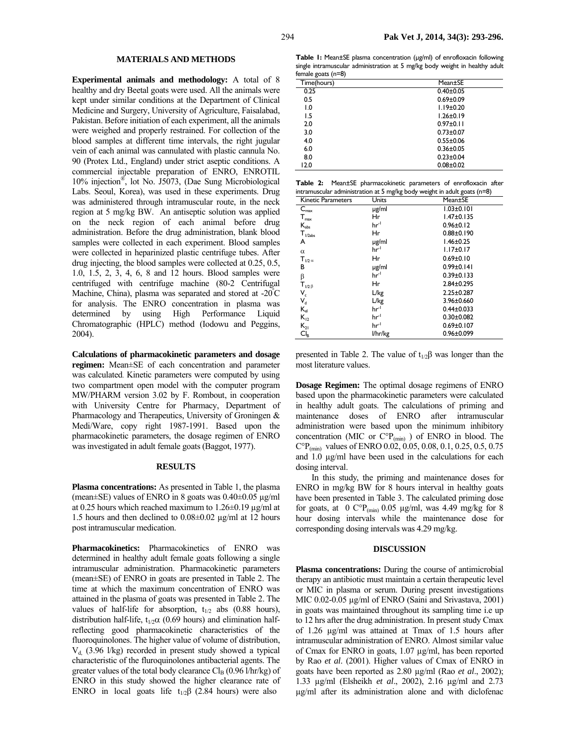## **MATERIALS AND METHODS**

**Experimental animals and methodology:** A total of 8 healthy and dry Beetal goats were used. All the animals were kept under similar conditions at the Department of Clinical Medicine and Surgery, University of Agriculture, Faisalabad, Pakistan. Before initiation of each experiment, all the animals were weighed and properly restrained. For collection of the blood samples at different time intervals, the right jugular vein of each animal was cannulated with plastic cannula No. 90 (Protex Ltd., England) under strict aseptic conditions. A commercial injectable preparation of ENRO, ENROTIL 10% injection®, lot No. J5073, (Dae Sung Microbiological Labs. Seoul, Korea), was used in these experiments. Drug was administered through intramuscular route, in the neck region at 5 mg/kg BW. An antiseptic solution was applied on the neck region of each animal before drug administration. Before the drug administration, blank blood samples were collected in each experiment. Blood samples were collected in heparinized plastic centrifuge tubes. After drug injecting, the blood samples were collected at 0.25, 0.5, 1.0, 1.5, 2, 3, 4, 6, 8 and 12 hours. Blood samples were centrifuged with centrifuge machine (80-2 Centrifugal Machine, China), plasma was separated and stored at -20 $^{\circ}$ C for analysis. The ENRO concentration in plasma was determined by using High Performance Liquid Chromatographic (HPLC) method (Iodowu and Peggins, 2004).

**Calculations of pharmacokinetic parameters and dosage regimen:** Mean±SE of each concentration and parameter was calculated. Kinetic parameters were computed by using two compartment open model with the computer program MW/PHARM version 3.02 by F. Rombout, in cooperation with University Centre for Pharmacy, Department of Pharmacology and Therapeutics, University of Groningen & Medi/Ware, copy right 1987-1991. Based upon the pharmacokinetic parameters, the dosage regimen of ENRO was investigated in adult female goats (Baggot, 1977).

#### **RESULTS**

**Plasma concentrations:** As presented in Table 1, the plasma (mean $\pm$ SE) values of ENRO in 8 goats was 0.40 $\pm$ 0.05  $\mu$ g/ml at 0.25 hours which reached maximum to  $1.26 \pm 0.19$  µg/ml at 1.5 hours and then declined to 0.08±0.02 µg/ml at 12 hours post intramuscular medication.

**Pharmacokinetics:** Pharmacokinetics of ENRO was determined in healthy adult female goats following a single intramuscular administration. Pharmacokinetic parameters (mean±SE) of ENRO in goats are presented in Table 2. The time at which the maximum concentration of ENRO was attained in the plasma of goats was presented in Table 2. The values of half-life for absorption,  $t_{1/2}$  abs (0.88 hours), distribution half-life,  $t_{1/2} \alpha$  (0.69 hours) and elimination halfreflecting good pharmacokinetic characteristics of the fluoroquinolones. The higher value of volume of distribution,  $V<sub>d</sub>$  (3.96 l/kg) recorded in present study showed a typical characteristic of the fluroquinolones antibacterial agents. The greater values of the total body clearance  $Cl_B$  (0.96 l/hr/kg) of ENRO in this study showed the higher clearance rate of ENRO in local goats life  $t_{1/2}\beta$  (2.84 hours) were also

**Table 1:** Mean±SE plasma concentration (µg/ml) of enrofloxacin following single intramuscular administration at 5 mg/kg body weight in healthy adult female goats (n=8)

| Time(hours)    | Mean±SE         |  |  |  |
|----------------|-----------------|--|--|--|
| 0.25           | $0.40 \pm 0.05$ |  |  |  |
| 0.5            | $0.69 + 0.09$   |  |  |  |
| $\overline{0}$ | $1.19 \pm 0.20$ |  |  |  |
| 1.5            | $1.26 \pm 0.19$ |  |  |  |
| 2.0            | $0.97 \pm 0.11$ |  |  |  |
| 3.0            | $0.73 \pm 0.07$ |  |  |  |
| 4.0            | $0.55 \pm 0.06$ |  |  |  |
| 6.0            | $0.36 \pm 0.05$ |  |  |  |
| 8.0            | $0.23 \pm 0.04$ |  |  |  |
| 12.0           | $0.08 + 0.02$   |  |  |  |

|                                                                              |  |  | Table 2: Mean±SE pharmacokinetic parameters of enrofloxacin after |  |  |  |  |
|------------------------------------------------------------------------------|--|--|-------------------------------------------------------------------|--|--|--|--|
| intramuscular administration at 5 mg/kg body weight in adult goats ( $n=8$ ) |  |  |                                                                   |  |  |  |  |

| <b>Kinetic Parameters</b>                    | Units           | Mean±SE          |
|----------------------------------------------|-----------------|------------------|
| $\mathsf{C}_{\max}$                          | $\mu$ g/ml      | $1.03 \pm 0.101$ |
| $T_{\text{max}}$                             | Hr              | $1.47 \pm 0.135$ |
| $K_{\rm abs}$                                | $hr^{-1}$       | $0.96 \pm 0.12$  |
| $\mathsf{T}_{\text{I/2abs}}$                 | Hr              | $0.88 \pm 0.190$ |
| A                                            | µg/ml           | $1.46 \pm 0.25$  |
| $\alpha$                                     | $hr^{-1}$       | $1.17 \pm 0.17$  |
| $T_{1/2\,\alpha}$                            | Hr              | $0.69 \pm 0.10$  |
| В                                            | µg/ml           | $0.99 \pm 0.141$ |
| β                                            | $hr^{-1}$       | $0.39 \pm 0.133$ |
| $T_{1/2\beta}$                               | Hr              | $2.84 \pm 0.295$ |
| V <sub>c</sub>                               | L/kg            | $2.25 \pm 0.287$ |
| $\mathsf{V}_{\mathsf{d}}$                    | L/kg            | 3.96±0.660       |
| $\mathsf{K}_{\scriptscriptstyle{\text{el}}}$ | hr <sup>1</sup> | $0.44 \pm 0.033$ |
| $K_{12}$                                     | $hr^{-1}$       | $0.30 \pm 0.082$ |
| $K_{21}$                                     | $hr^{-1}$       | $0.69 \pm 0.107$ |
| $\mathsf{CI}_\mathsf{B}$                     | l/hr/kg         | $0.96 \pm 0.099$ |
|                                              |                 |                  |

presented in Table 2. The value of  $t_{1/2}$ β was longer than the most literature values.

**Dosage Regimen:** The optimal dosage regimens of ENRO based upon the pharmacokinetic parameters were calculated in healthy adult goats. The calculations of priming and maintenance doses of ENRO after intramuscular administration were based upon the minimum inhibitory concentration (MIC or  $C^{\circ}P_{(min)}$ ) of ENRO in blood. The  $C^{\circ}P_{(min)}$  values of ENRO 0.02, 0.05, 0.08, 0.1, 0.25, 0.5, 0.75 and 1.0 µg/ml have been used in the calculations for each dosing interval.

In this study, the priming and maintenance doses for ENRO in mg/kg BW for 8 hours interval in healthy goats have been presented in Table 3. The calculated priming dose for goats, at 0  $C^{\circ}P_{(min)}$  0.05  $\mu$ g/ml, was 4.49 mg/kg for 8 hour dosing intervals while the maintenance dose for corresponding dosing intervals was 4.29 mg/kg.

### **DISCUSSION**

**Plasma concentrations:** During the course of antimicrobial therapy an antibiotic must maintain a certain therapeutic level or MIC in plasma or serum. During present investigations MIC 0.02-0.05 µg/ml of ENRO (Saini and Srivastava, 2001) in goats was maintained throughout its sampling time i.e up to 12 hrs after the drug administration. In present study Cmax of 1.26 µg/ml was attained at Tmax of 1.5 hours after intramuscular administration of ENRO. Almost similar value of Cmax for ENRO in goats, 1.07 µg/ml, has been reported by Rao *et al*. (2001). Higher values of Cmax of ENRO in goats have been reported as 2.80 µg/ml (Rao *et al*., 2002); 1.33 µg/ml (Elsheikh *et al*., 2002), 2.16 µg/ml and 2.73 µg/ml after its administration alone and with diclofenac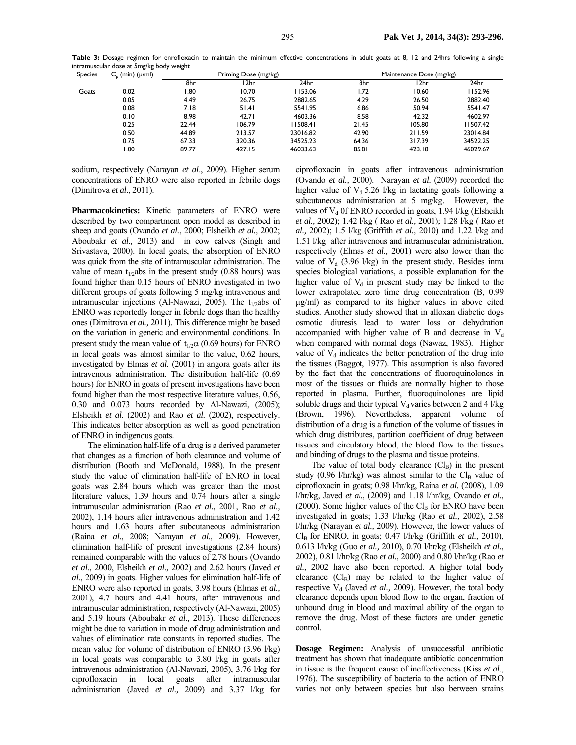| ິ<br><b>Species</b><br>$C_{p}$ (min) ( $\mu$ /ml) |      | . .   | Priming Dose (mg/kg) |          |       | Maintenance Dose (mg/kg) |          |  |
|---------------------------------------------------|------|-------|----------------------|----------|-------|--------------------------|----------|--|
|                                                   |      |       |                      |          |       |                          |          |  |
|                                                   |      | 8hr   | l 2hr                | 24hr     | 8hr   | l 2hr                    | 24hr     |  |
| Goats                                             | 0.02 | .80   | 10.70                | 1153.06  | 1.72  | 10.60                    | 1152.96  |  |
|                                                   | 0.05 | 4.49  | 26.75                | 2882.65  | 4.29  | 26.50                    | 2882.40  |  |
|                                                   | 0.08 | 7.18  | 51.41                | 5541.95  | 6.86  | 50.94                    | 5541.47  |  |
|                                                   | 0.10 | 8.98  | 42.71                | 4603.36  | 8.58  | 42.32                    | 4602.97  |  |
|                                                   | 0.25 | 22.44 | 106.79               | 1508.41  | 21.45 | 105.80                   | 11507.42 |  |
|                                                   | 0.50 | 44.89 | 213.57               | 23016.82 | 42.90 | 211.59                   | 23014.84 |  |
|                                                   | 0.75 | 67.33 | 320.36               | 34525.23 | 64.36 | 317.39                   | 34522.25 |  |
|                                                   | 00.1 | 89.77 | 427.15               | 46033.63 | 85.81 | 423.18                   | 46029.67 |  |

**Table 3:** Dosage regimen for enrofloxacin to maintain the minimum effective concentrations in adult goats at 8, 12 and 24hrs following a single intramuscular dose at 5mg/kg body weight

sodium, respectively (Narayan *et al*., 2009). Higher serum concentrations of ENRO were also reported in febrile dogs (Dimitrova *et al*., 2011).

**Pharmacokinetics:** Kinetic parameters of ENRO were described by two compartment open model as described in sheep and goats (Ovando *et al.*, 2000; Elsheikh *et al.,* 2002; Aboubakr *et al.,* 2013) and in cow calves (Singh and Srivastava, 2000). In local goats, the absorption of ENRO was quick from the site of intramuscular administration. The value of mean  $t_{1/2}$ abs in the present study (0.88 hours) was found higher than 0.15 hours of ENRO investigated in two different groups of goats following 5 mg/kg intravenous and intramuscular injections (Al-Nawazi, 2005). The  $t_{1/2}$ abs of ENRO was reportedly longer in febrile dogs than the healthy ones (Dimitrova *et al.,* 2011). This difference might be based on the variation in genetic and environmental conditions. In present study the mean value of  $t_{1/2}\alpha$  (0.69 hours) for ENRO in local goats was almost similar to the value, 0.62 hours, investigated by Elmas *et al.* (2001) in angora goats after its intravenous administration. The distribution half-life (0.69 hours) for ENRO in goats of present investigations have been found higher than the most respective literature values, 0.56, 0.30 and 0.073 hours recorded by Al-Nawazi, (2005); Elsheikh *et al.* (2002) and Rao *et al.* (2002), respectively. This indicates better absorption as well as good penetration of ENRO in indigenous goats.

The elimination half-life of a drug is a derived parameter that changes as a function of both clearance and volume of distribution (Booth and McDonald, 1988). In the present study the value of elimination half-life of ENRO in local goats was 2.84 hours which was greater than the most literature values, 1.39 hours and 0.74 hours after a single intramuscular administration (Rao *et al.,* 2001, Rao *et al.,* 2002), 1.14 hours after intravenous administration and 1.42 hours and 1.63 hours after subcutaneous administration (Raina *et al.,* 2008; Narayan *et al.,* 2009). However, elimination half-life of present investigations (2.84 hours) remained comparable with the values of 2.78 hours (Ovando *et al.,* 2000, Elsheikh *et al.,* 2002) and 2.62 hours (Javed *et al.,* 2009) in goats. Higher values for elimination half-life of ENRO were also reported in goats, 3.98 hours (Elmas *et al.,* 2001), 4.7 hours and 4.41 hours, after intravenous and intramuscular administration, respectively (Al-Nawazi, 2005) and 5.19 hours (Aboubakr *et al.,* 2013). These differences might be due to variation in mode of drug administration and values of elimination rate constants in reported studies. The mean value for volume of distribution of ENRO (3.96 l/kg) in local goats was comparable to 3.80 l/kg in goats after intravenous administration (Al-Nawazi, 2005), 3.76 l/kg for ciprofloxacin in local goats after intramuscular administration (Javed *et al.,* 2009) and 3.37 l/kg for

ciprofloxacin in goats after intravenous administration (Ovando *et al.,* 2000). Narayan *et al.* (2009) recorded the higher value of  $V_d$  5.26 l/kg in lactating goats following a subcutaneous administration at 5 mg/kg. However, the values of  $V_d$  0f ENRO recorded in goats, 1.94 l/kg (Elsheikh *et al.,* 2002); 1.42 l/kg ( Rao *et al.,* 2001); 1.28 l/kg ( Rao *et al.,* 2002); 1.5 l/kg (Griffith *et al.,* 2010) and 1.22 l/kg and 1.51 l/kg after intravenous and intramuscular administration, respectively (Elmas *et al.,* 2001) were also lower than the value of  $V_d$  (3.96 l/kg) in the present study. Besides intra species biological variations, a possible explanation for the higher value of  $V_d$  in present study may be linked to the lower extrapolated zero time drug concentration (B, 0.99 µg/ml) as compared to its higher values in above cited studies. Another study showed that in alloxan diabetic dogs osmotic diuresis lead to water loss or dehydration accompanied with higher value of B and decrease in  $V_d$ when compared with normal dogs (Nawaz, 1983). Higher value of  $V_d$  indicates the better penetration of the drug into the tissues (Baggot, 1977). This assumption is also favored by the fact that the concentrations of fluoroquinolones in most of the tissues or fluids are normally higher to those reported in plasma. Further, fluoroquinolones are lipid soluble drugs and their typical  $V_d$  varies between 2 and 4 l/kg (Brown, 1996). Nevertheless, apparent volume of distribution of a drug is a function of the volume of tissues in which drug distributes, partition coefficient of drug between tissues and circulatory blood, the blood flow to the tissues and binding of drugs to the plasma and tissue proteins.

The value of total body clearance  $(Cl_B)$  in the present study (0.96 l/hr/kg) was almost similar to the  $Cl<sub>B</sub>$  value of ciprofloxacin in goats; 0.98 l/hr/kg, Raina *et al.* (2008), 1.09 l/hr/kg, Javed *et al.,* (2009) and 1.18 l/hr/kg, Ovando *et al.,* (2000). Some higher values of the  $Cl<sub>B</sub>$  for ENRO have been investigated in goats; 1.33 l/hr/kg (Rao *et al.,* 2002), 2.58 l/hr/kg (Narayan *et al.,* 2009). However, the lower values of  $Cl<sub>B</sub>$  for ENRO, in goats; 0.47 l/h/kg (Griffith *et al.*, 2010), 0.613 l/h/kg (Guo *et al.,* 2010), 0.70 l/hr/kg (Elsheikh *et al.,* 2002), 0.81 l/hr/kg (Rao *et al.,* 2000) and 0.80 l/hr/kg (Rao *et al.,* 2002 have also been reported. A higher total body clearance  $(Cl_B)$  may be related to the higher value of respective  $V_d$  (Javed *et al.*, 2009). However, the total body clearance depends upon blood flow to the organ, fraction of unbound drug in blood and maximal ability of the organ to remove the drug. Most of these factors are under genetic control.

**Dosage Regimen:** Analysis of unsuccessful antibiotic treatment has shown that inadequate antibiotic concentration in tissue is the frequent cause of ineffectiveness (Kiss *et al*., 1976). The susceptibility of bacteria to the action of ENRO varies not only between species but also between strains